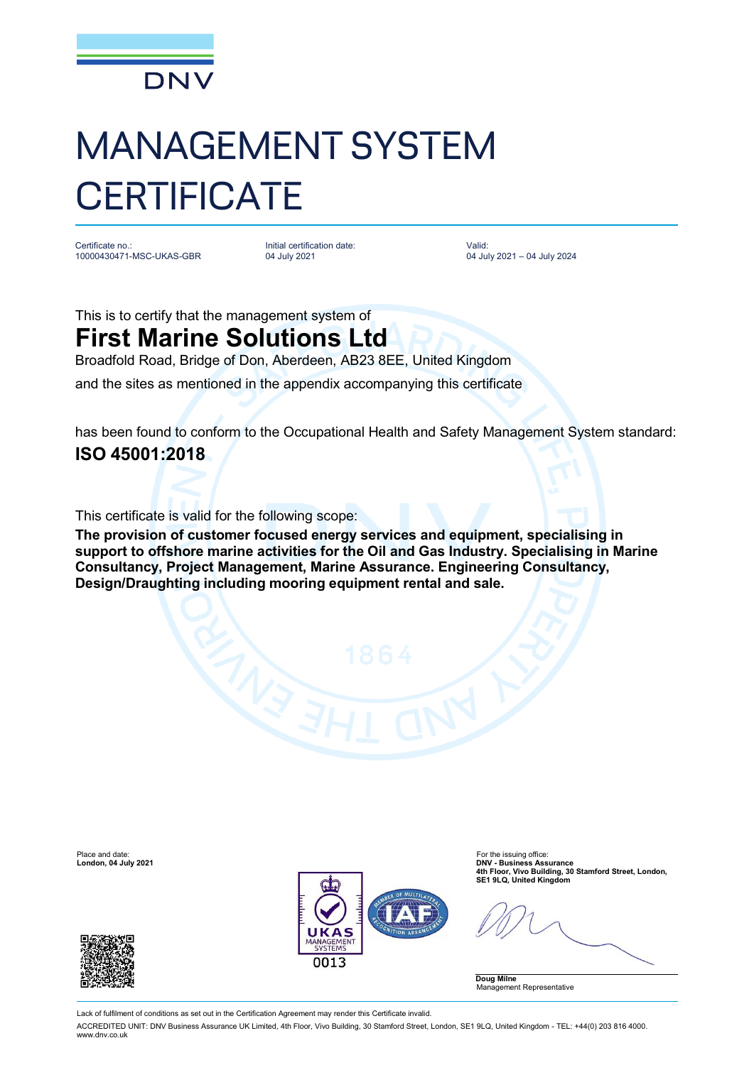

## MANAGEMENT SYSTEM **CERTIFICATE**

Certificate no.: 10000430471-MSC-UKAS-GBR Initial certification date: 04 July 2021

Valid: 04 July 2021 – 04 July 2024

This is to certify that the management system of

## **First Marine Solutions Ltd**

Broadfold Road, Bridge of Don, Aberdeen, AB23 8EE, United Kingdom

and the sites as mentioned in the appendix accompanying this certificate

has been found to conform to the Occupational Health and Safety Management System standard: **ISO 45001:2018**

This certificate is valid for the following scope:

**The provision of customer focused energy services and equipment, specialising in support to offshore marine activities for the Oil and Gas Industry. Specialising in Marine Consultancy, Project Management, Marine Assurance. Engineering Consultancy, Design/Draughting including mooring equipment rental and sale.**

Place and date: For the issuing office: For the issuing office: For the issuing office: For the issuing office:  $\blacksquare$ 





DNV - Business Assurance<br>4th Floor, Vivo Building, 30 Stamford Street, London,<br>SE1 9LQ, United Kingdom (Integration) SE1 9LQ, United Kingdom

**Doug Milne** Management Representative

Lack of fulfilment of conditions as set out in the Certification Agreement may render this Certificate invalid.

ACCREDITED UNIT: DNV Business Assurance UK Limited, 4th Floor, Vivo Building, 30 Stamford Street, London, SE1 9LQ, United Kingdom - TEL: +44(0) 203 816 4000. [www.dnv.co.uk](http://www.dnv.co.uk)